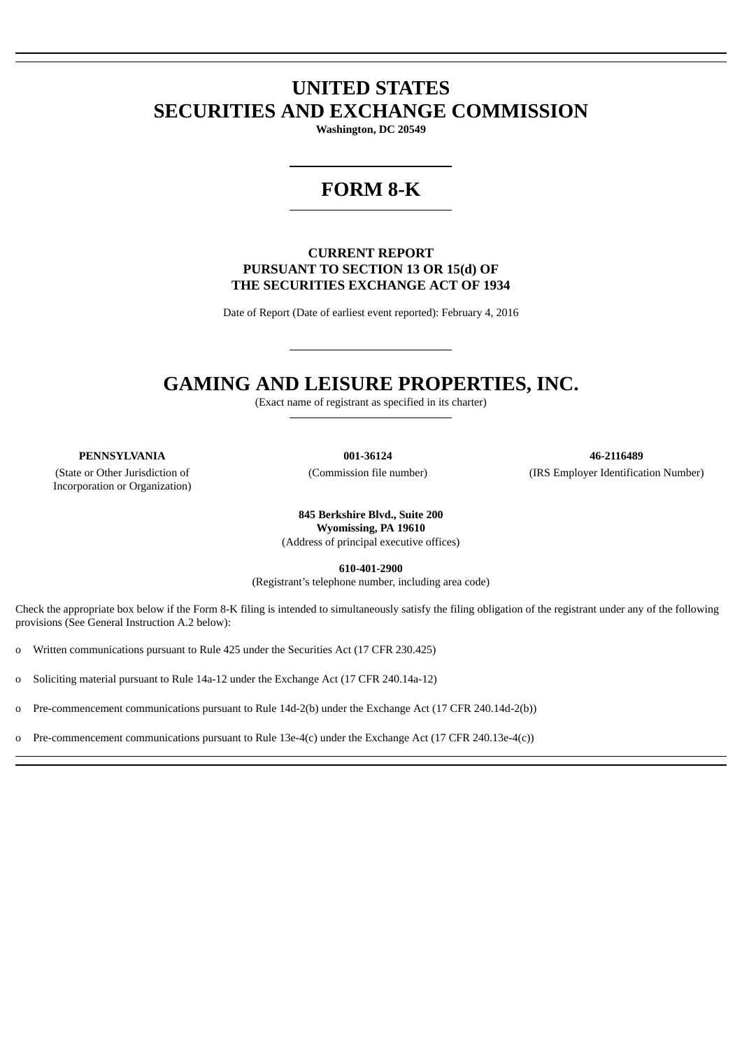# **UNITED STATES SECURITIES AND EXCHANGE COMMISSION**

**Washington, DC 20549**

# **FORM 8-K**

## **CURRENT REPORT PURSUANT TO SECTION 13 OR 15(d) OF THE SECURITIES EXCHANGE ACT OF 1934**

Date of Report (Date of earliest event reported): February 4, 2016

# **GAMING AND LEISURE PROPERTIES, INC.**

(Exact name of registrant as specified in its charter)

(State or Other Jurisdiction of Incorporation or Organization)

**PENNSYLVANIA 001-36124 46-2116489** (Commission file number) (IRS Employer Identification Number)

> **845 Berkshire Blvd., Suite 200 Wyomissing, PA 19610** (Address of principal executive offices)

> > **610-401-2900**

(Registrant's telephone number, including area code)

Check the appropriate box below if the Form 8-K filing is intended to simultaneously satisfy the filing obligation of the registrant under any of the following provisions (See General Instruction A.2 below):

o Written communications pursuant to Rule 425 under the Securities Act (17 CFR 230.425)

o Soliciting material pursuant to Rule 14a-12 under the Exchange Act (17 CFR 240.14a-12)

o Pre-commencement communications pursuant to Rule 14d-2(b) under the Exchange Act (17 CFR 240.14d-2(b))

o Pre-commencement communications pursuant to Rule 13e-4(c) under the Exchange Act (17 CFR 240.13e-4(c))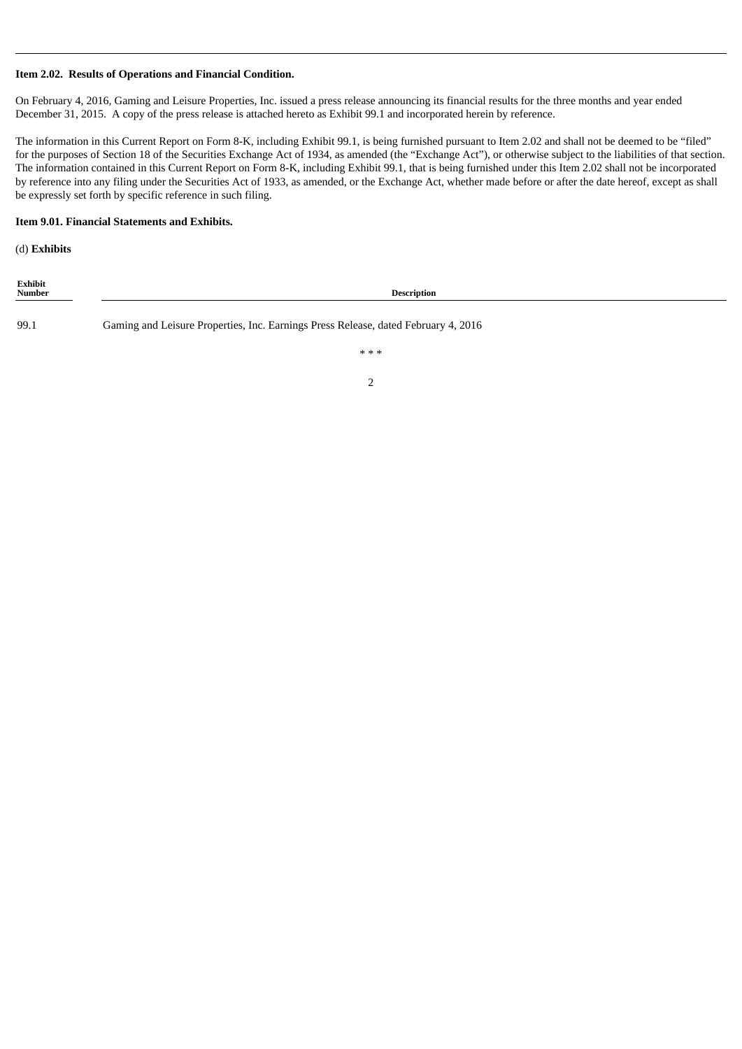### **Item 2.02. Results of Operations and Financial Condition.**

On February 4, 2016, Gaming and Leisure Properties, Inc. issued a press release announcing its financial results for the three months and year ended December 31, 2015. A copy of the press release is attached hereto as Exhibit 99.1 and incorporated herein by reference.

The information in this Current Report on Form 8-K, including Exhibit 99.1, is being furnished pursuant to Item 2.02 and shall not be deemed to be "filed" for the purposes of Section 18 of the Securities Exchange Act of 1934, as amended (the "Exchange Act"), or otherwise subject to the liabilities of that section. The information contained in this Current Report on Form 8-K, including Exhibit 99.1, that is being furnished under this Item 2.02 shall not be incorporated by reference into any filing under the Securities Act of 1933, as amended, or the Exchange Act, whether made before or after the date hereof, except as shall be expressly set forth by specific reference in such filing.

#### **Item 9.01. Financial Statements and Exhibits.**

(d) **Exhibits**

| Exhibit<br>Number | <b>Description</b>                                                                 |  |  |  |  |  |  |  |
|-------------------|------------------------------------------------------------------------------------|--|--|--|--|--|--|--|
| 99.1              | Gaming and Leisure Properties, Inc. Earnings Press Release, dated February 4, 2016 |  |  |  |  |  |  |  |
|                   | ***                                                                                |  |  |  |  |  |  |  |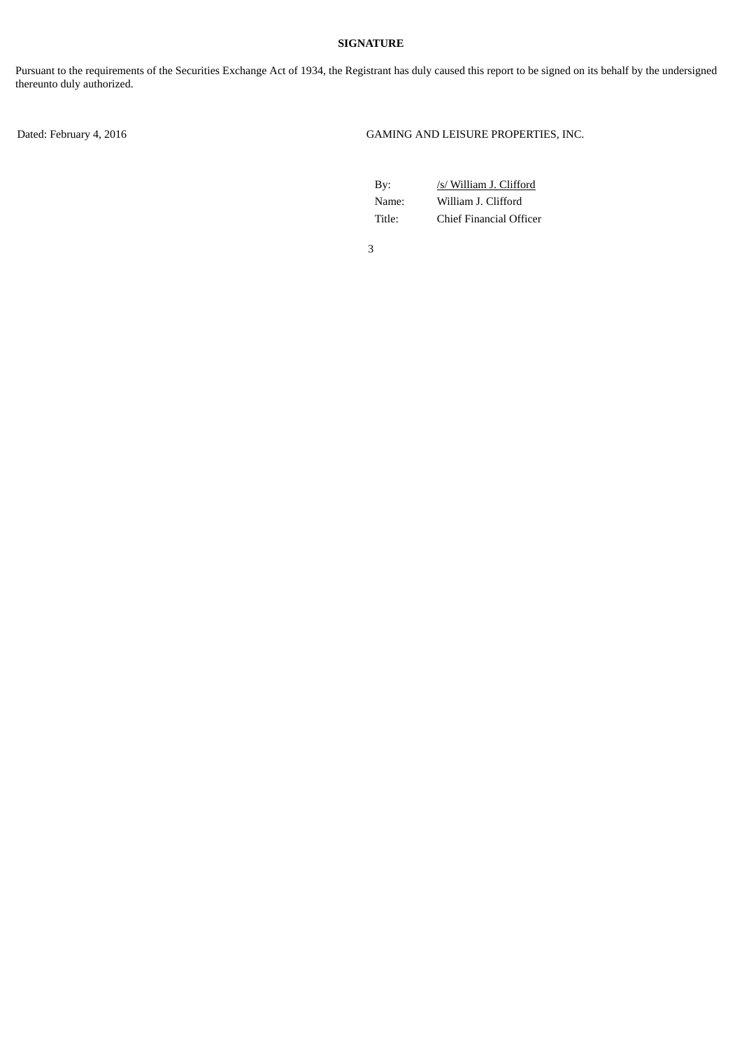## **SIGNATURE**

Pursuant to the requirements of the Securities Exchange Act of 1934, the Registrant has duly caused this report to be signed on its behalf by the undersigned thereunto duly authorized.

Dated: February 4, 2016 <br>
GAMING AND LEISURE PROPERTIES, INC.

| Bv:    | /s/ William J. Clifford |
|--------|-------------------------|
| Name:  | William J. Clifford     |
| Title: | Chief Financial Officer |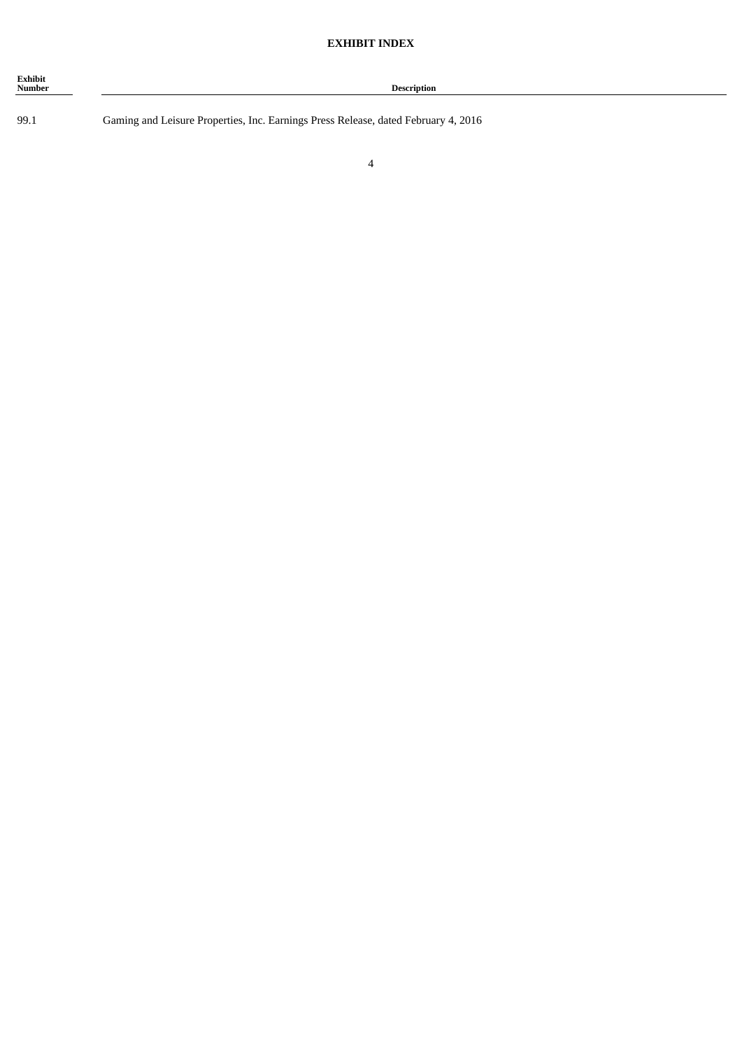| <b>Exhibit</b><br><b>Number</b> | <b>Description</b> |
|---------------------------------|--------------------|
|                                 |                    |

99.1 Gaming and Leisure Properties, Inc. Earnings Press Release, dated February 4, 2016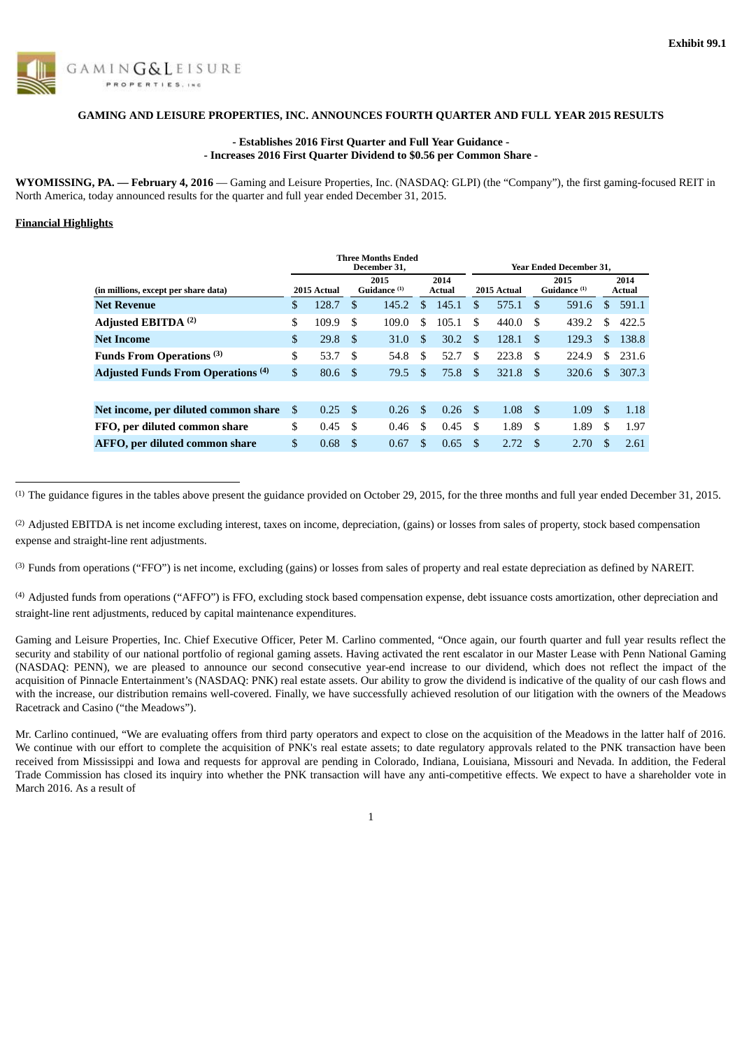

#### **GAMING AND LEISURE PROPERTIES, INC. ANNOUNCES FOURTH QUARTER AND FULL YEAR 2015 RESULTS**

#### **- Establishes 2016 First Quarter and Full Year Guidance - - Increases 2016 First Quarter Dividend to \$0.56 per Common Share -**

**WYOMISSING, PA. — February 4, 2016** — Gaming and Leisure Properties, Inc. (NASDAQ: GLPI) (the "Company"), the first gaming-focused REIT in North America, today announced results for the quarter and full year ended December 31, 2015.

#### **Financial Highlights**

|                                           |               |                 | <b>Three Months Ended</b><br>December 31. |       | <b>Year Ended December 31.</b> |       |             |       |                                 |       |                |       |
|-------------------------------------------|---------------|-----------------|-------------------------------------------|-------|--------------------------------|-------|-------------|-------|---------------------------------|-------|----------------|-------|
| (in millions, except per share data)      | 2015 Actual   |                 | 2015<br>Guidance <sup>(1)</sup>           |       | 2014<br>Actual                 |       | 2015 Actual |       | 2015<br>Guidance <sup>(1)</sup> |       | 2014<br>Actual |       |
| <b>Net Revenue</b>                        | \$            | 128.7           | \$                                        | 145.2 | \$.                            | 145.1 | \$          | 575.1 | - \$                            | 591.6 | \$             | 591.1 |
| Adjusted EBITDA <sup>(2)</sup>            | \$            | 109.9           | \$                                        | 109.0 | \$.                            | 105.1 | \$          | 440.0 | -S                              | 439.2 | \$.            | 422.5 |
| <b>Net Income</b>                         | \$            | 29.8            | - \$                                      | 31.0  | \$                             | 30.2  | \$          | 128.1 | -\$                             | 129.3 | <sup>\$</sup>  | 138.8 |
| <b>Funds From Operations</b> (3)          | \$            | 53.7 \$         |                                           | 54.8  | \$                             | 52.7  | \$          | 223.8 | -S                              | 224.9 | \$             | 231.6 |
| <b>Adjusted Funds From Operations (4)</b> | \$            | 80.6 \$         |                                           | 79.5  | <sup>\$</sup>                  | 75.8  | \$.         | 321.8 | -\$                             | 320.6 | \$.            | 307.3 |
|                                           |               |                 |                                           |       |                                |       |             |       |                                 |       |                |       |
| Net income, per diluted common share      | <sup>\$</sup> | $0.25 \quad$ \$ |                                           | 0.26  | <sup>\$</sup>                  | 0.26  | -\$         | 1.08  | -\$                             | 1.09  | \$.            | 1.18  |
| FFO, per diluted common share             | \$            | $0.45 \quad$ \$ |                                           | 0.46  | -S                             | 0.45  | \$.         | 1.89  | -\$                             | 1.89  | \$             | 1.97  |
| AFFO, per diluted common share            | \$            | 0.68            | S.                                        | 0.67  | \$.                            | 0.65  | \$.         | 2.72  | -\$                             | 2.70  | \$             | 2.61  |

 $<sup>(1)</sup>$  The guidance figures in the tables above present the guidance provided on October 29, 2015, for the three months and full year ended December 31, 2015.</sup>

<sup>(2)</sup> Adjusted EBITDA is net income excluding interest, taxes on income, depreciation, (gains) or losses from sales of property, stock based compensation expense and straight-line rent adjustments.

<sup>(3)</sup> Funds from operations ("FFO") is net income, excluding (gains) or losses from sales of property and real estate depreciation as defined by NAREIT.

<sup>(4)</sup> Adjusted funds from operations ("AFFO") is FFO, excluding stock based compensation expense, debt issuance costs amortization, other depreciation and straight-line rent adjustments, reduced by capital maintenance expenditures.

Gaming and Leisure Properties, Inc. Chief Executive Officer, Peter M. Carlino commented, "Once again, our fourth quarter and full year results reflect the security and stability of our national portfolio of regional gaming assets. Having activated the rent escalator in our Master Lease with Penn National Gaming (NASDAQ: PENN), we are pleased to announce our second consecutive year-end increase to our dividend, which does not reflect the impact of the acquisition of Pinnacle Entertainment's (NASDAQ: PNK) real estate assets. Our ability to grow the dividend is indicative of the quality of our cash flows and with the increase, our distribution remains well-covered. Finally, we have successfully achieved resolution of our litigation with the owners of the Meadows Racetrack and Casino ("the Meadows").

Mr. Carlino continued, "We are evaluating offers from third party operators and expect to close on the acquisition of the Meadows in the latter half of 2016. We continue with our effort to complete the acquisition of PNK's real estate assets; to date regulatory approvals related to the PNK transaction have been received from Mississippi and Iowa and requests for approval are pending in Colorado, Indiana, Louisiana, Missouri and Nevada. In addition, the Federal Trade Commission has closed its inquiry into whether the PNK transaction will have any anti-competitive effects. We expect to have a shareholder vote in March 2016. As a result of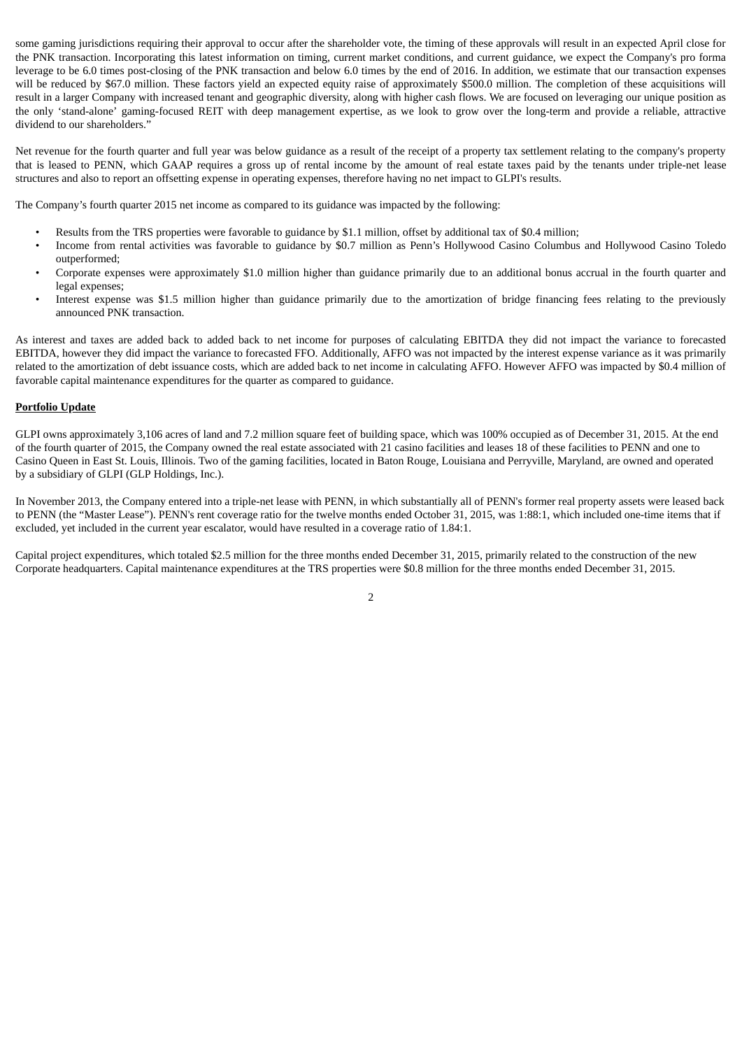some gaming jurisdictions requiring their approval to occur after the shareholder vote, the timing of these approvals will result in an expected April close for the PNK transaction. Incorporating this latest information on timing, current market conditions, and current guidance, we expect the Company's pro forma leverage to be 6.0 times post-closing of the PNK transaction and below 6.0 times by the end of 2016. In addition, we estimate that our transaction expenses will be reduced by \$67.0 million. These factors yield an expected equity raise of approximately \$500.0 million. The completion of these acquisitions will result in a larger Company with increased tenant and geographic diversity, along with higher cash flows. We are focused on leveraging our unique position as the only 'stand-alone' gaming-focused REIT with deep management expertise, as we look to grow over the long-term and provide a reliable, attractive dividend to our shareholders."

Net revenue for the fourth quarter and full year was below guidance as a result of the receipt of a property tax settlement relating to the company's property that is leased to PENN, which GAAP requires a gross up of rental income by the amount of real estate taxes paid by the tenants under triple-net lease structures and also to report an offsetting expense in operating expenses, therefore having no net impact to GLPI's results.

The Company's fourth quarter 2015 net income as compared to its guidance was impacted by the following:

- Results from the TRS properties were favorable to guidance by \$1.1 million, offset by additional tax of \$0.4 million;
- Income from rental activities was favorable to guidance by \$0.7 million as Penn's Hollywood Casino Columbus and Hollywood Casino Toledo outperformed;
- Corporate expenses were approximately \$1.0 million higher than guidance primarily due to an additional bonus accrual in the fourth quarter and legal expenses;
- Interest expense was \$1.5 million higher than guidance primarily due to the amortization of bridge financing fees relating to the previously announced PNK transaction.

As interest and taxes are added back to added back to net income for purposes of calculating EBITDA they did not impact the variance to forecasted EBITDA, however they did impact the variance to forecasted FFO. Additionally, AFFO was not impacted by the interest expense variance as it was primarily related to the amortization of debt issuance costs, which are added back to net income in calculating AFFO. However AFFO was impacted by \$0.4 million of favorable capital maintenance expenditures for the quarter as compared to guidance.

#### **Portfolio Update**

GLPI owns approximately 3,106 acres of land and 7.2 million square feet of building space, which was 100% occupied as of December 31, 2015. At the end of the fourth quarter of 2015, the Company owned the real estate associated with 21 casino facilities and leases 18 of these facilities to PENN and one to Casino Queen in East St. Louis, Illinois. Two of the gaming facilities, located in Baton Rouge, Louisiana and Perryville, Maryland, are owned and operated by a subsidiary of GLPI (GLP Holdings, Inc.).

In November 2013, the Company entered into a triple-net lease with PENN, in which substantially all of PENN's former real property assets were leased back to PENN (the "Master Lease"). PENN's rent coverage ratio for the twelve months ended October 31, 2015, was 1:88:1, which included one-time items that if excluded, yet included in the current year escalator, would have resulted in a coverage ratio of 1.84:1.

Capital project expenditures, which totaled \$2.5 million for the three months ended December 31, 2015, primarily related to the construction of the new Corporate headquarters. Capital maintenance expenditures at the TRS properties were \$0.8 million for the three months ended December 31, 2015.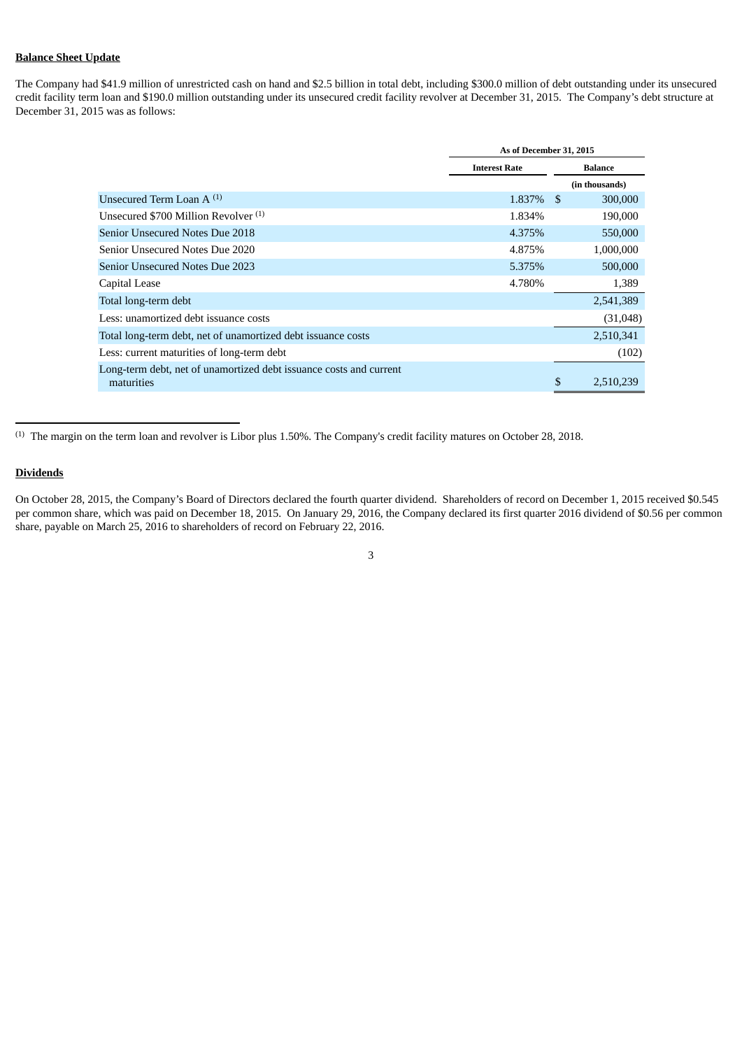## **Balance Sheet Update**

The Company had \$41.9 million of unrestricted cash on hand and \$2.5 billion in total debt, including \$300.0 million of debt outstanding under its unsecured credit facility term loan and \$190.0 million outstanding under its unsecured credit facility revolver at December 31, 2015. The Company's debt structure at December 31, 2015 was as follows:

|                                                                                  | As of December 31, 2015 |    |                |  |  |  |  |
|----------------------------------------------------------------------------------|-------------------------|----|----------------|--|--|--|--|
|                                                                                  | <b>Interest Rate</b>    |    | <b>Balance</b> |  |  |  |  |
|                                                                                  |                         |    | (in thousands) |  |  |  |  |
| Unsecured Term Loan $A^{(1)}$                                                    | $1.837\%$ \$            |    | 300,000        |  |  |  |  |
| Unsecured \$700 Million Revolver (1)                                             | 1.834%                  |    | 190,000        |  |  |  |  |
| Senior Unsecured Notes Due 2018                                                  | 4.375%                  |    | 550,000        |  |  |  |  |
| Senior Unsecured Notes Due 2020                                                  | 4.875%                  |    | 1,000,000      |  |  |  |  |
| <b>Senior Unsecured Notes Due 2023</b>                                           | 5.375%                  |    | 500,000        |  |  |  |  |
| Capital Lease                                                                    | 4.780%                  |    | 1,389          |  |  |  |  |
| Total long-term debt                                                             |                         |    | 2,541,389      |  |  |  |  |
| Less: unamortized debt issuance costs                                            |                         |    | (31,048)       |  |  |  |  |
| Total long-term debt, net of unamortized debt issuance costs                     |                         |    | 2,510,341      |  |  |  |  |
| Less: current maturities of long-term debt                                       |                         |    | (102)          |  |  |  |  |
| Long-term debt, net of unamortized debt issuance costs and current<br>maturities |                         | \$ | 2,510,239      |  |  |  |  |

 $(1)$  The margin on the term loan and revolver is Libor plus 1.50%. The Company's credit facility matures on October 28, 2018.

## **Dividends**

On October 28, 2015, the Company's Board of Directors declared the fourth quarter dividend. Shareholders of record on December 1, 2015 received \$0.545 per common share, which was paid on December 18, 2015. On January 29, 2016, the Company declared its first quarter 2016 dividend of \$0.56 per common share, payable on March 25, 2016 to shareholders of record on February 22, 2016.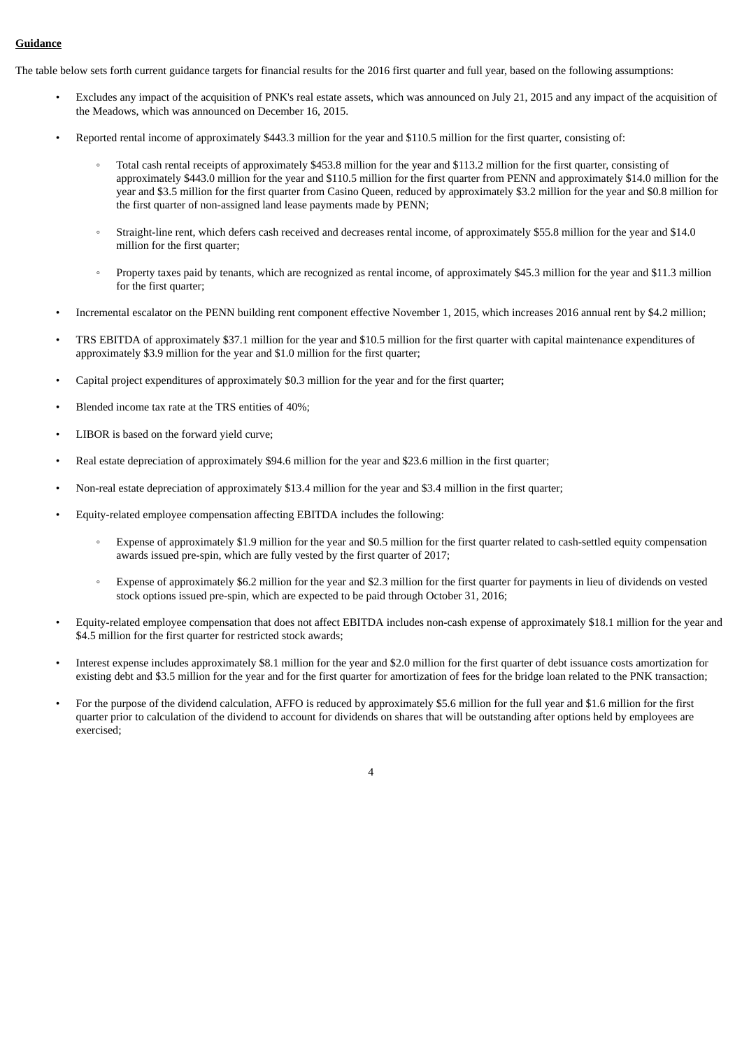#### **Guidance**

The table below sets forth current guidance targets for financial results for the 2016 first quarter and full year, based on the following assumptions:

- Excludes any impact of the acquisition of PNK's real estate assets, which was announced on July 21, 2015 and any impact of the acquisition of the Meadows, which was announced on December 16, 2015.
- Reported rental income of approximately \$443.3 million for the year and \$110.5 million for the first quarter, consisting of:
	- Total cash rental receipts of approximately \$453.8 million for the year and \$113.2 million for the first quarter, consisting of approximately \$443.0 million for the year and \$110.5 million for the first quarter from PENN and approximately \$14.0 million for the year and \$3.5 million for the first quarter from Casino Queen, reduced by approximately \$3.2 million for the year and \$0.8 million for the first quarter of non-assigned land lease payments made by PENN;
	- Straight-line rent, which defers cash received and decreases rental income, of approximately \$55.8 million for the year and \$14.0 million for the first quarter;
	- Property taxes paid by tenants, which are recognized as rental income, of approximately \$45.3 million for the year and \$11.3 million for the first quarter;
- Incremental escalator on the PENN building rent component effective November 1, 2015, which increases 2016 annual rent by \$4.2 million;
- TRS EBITDA of approximately \$37.1 million for the year and \$10.5 million for the first quarter with capital maintenance expenditures of approximately \$3.9 million for the year and \$1.0 million for the first quarter;
- Capital project expenditures of approximately \$0.3 million for the year and for the first quarter;
- Blended income tax rate at the TRS entities of 40%;
- LIBOR is based on the forward yield curve;
- Real estate depreciation of approximately \$94.6 million for the year and \$23.6 million in the first quarter;
- Non-real estate depreciation of approximately \$13.4 million for the year and \$3.4 million in the first quarter;
- Equity-related employee compensation affecting EBITDA includes the following:
	- Expense of approximately \$1.9 million for the year and \$0.5 million for the first quarter related to cash-settled equity compensation awards issued pre-spin, which are fully vested by the first quarter of 2017;
	- Expense of approximately \$6.2 million for the year and \$2.3 million for the first quarter for payments in lieu of dividends on vested stock options issued pre-spin, which are expected to be paid through October 31, 2016;
- Equity-related employee compensation that does not affect EBITDA includes non-cash expense of approximately \$18.1 million for the year and \$4.5 million for the first quarter for restricted stock awards;
- Interest expense includes approximately \$8.1 million for the year and \$2.0 million for the first quarter of debt issuance costs amortization for existing debt and \$3.5 million for the year and for the first quarter for amortization of fees for the bridge loan related to the PNK transaction;
- For the purpose of the dividend calculation, AFFO is reduced by approximately \$5.6 million for the full year and \$1.6 million for the first quarter prior to calculation of the dividend to account for dividends on shares that will be outstanding after options held by employees are exercised;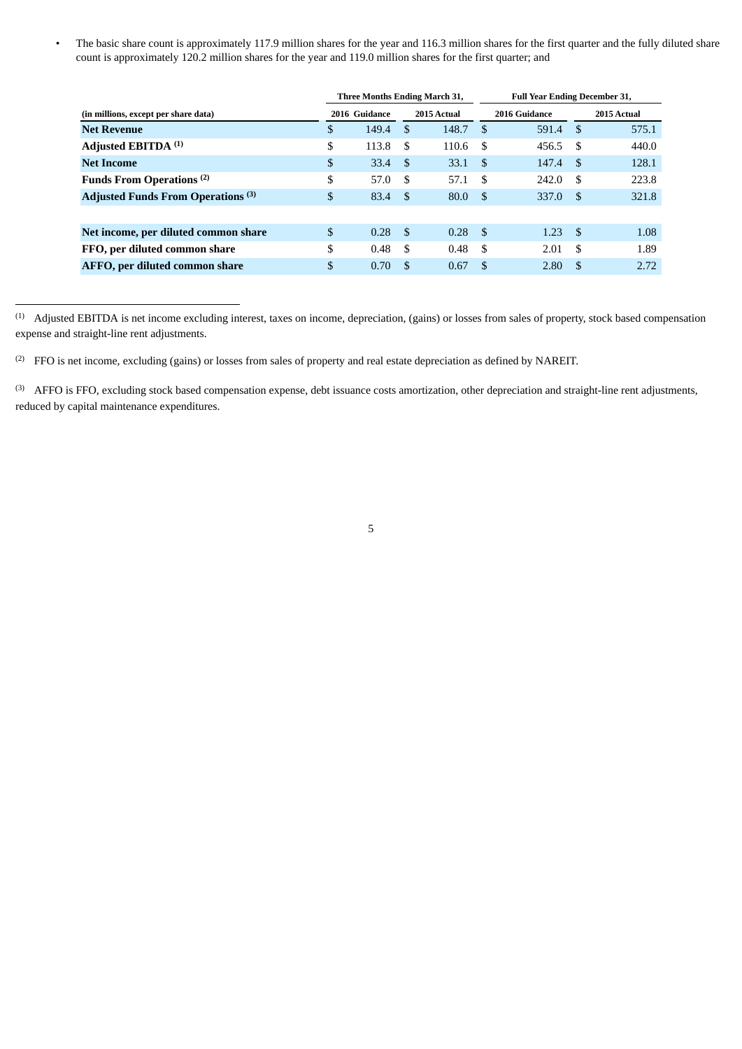• The basic share count is approximately 117.9 million shares for the year and 116.3 million shares for the first quarter and the fully diluted share count is approximately 120.2 million shares for the year and 119.0 million shares for the first quarter; and

|                                           | Three Months Ending March 31, |      |             | <b>Full Year Ending December 31,</b> |                      |             |       |  |  |  |  |
|-------------------------------------------|-------------------------------|------|-------------|--------------------------------------|----------------------|-------------|-------|--|--|--|--|
| (in millions, except per share data)      | 2016 Guidance                 |      | 2015 Actual |                                      | <b>2016 Guidance</b> | 2015 Actual |       |  |  |  |  |
| <b>Net Revenue</b>                        | \$<br>149.4                   | -S   | 148.7       | - \$                                 | 591.4 \$             |             | 575.1 |  |  |  |  |
| Adjusted EBITDA <sup>(1)</sup>            | \$<br>113.8                   | - \$ | 110.6       | - \$                                 | 456.5                | - \$        | 440.0 |  |  |  |  |
| <b>Net Income</b>                         | \$<br>33.4                    | - \$ | 33.1        | - \$                                 | 147.4                | - \$        | 128.1 |  |  |  |  |
| Funds From Operations <sup>(2)</sup>      | \$<br>57.0                    | - \$ | 57.1        | - \$                                 | 242.0                | - \$        | 223.8 |  |  |  |  |
| <b>Adjusted Funds From Operations</b> (3) | \$<br>83.4                    | - \$ | 80.0        | - \$                                 | 337.0                | - \$        | 321.8 |  |  |  |  |
|                                           |                               |      |             |                                      |                      |             |       |  |  |  |  |
| Net income, per diluted common share      | \$<br>0.28                    | - \$ | 0.28        | - \$                                 | 1.23                 | - \$        | 1.08  |  |  |  |  |
| FFO, per diluted common share             | \$<br>0.48                    | -\$  | 0.48        | \$                                   | 2.01                 | -S          | 1.89  |  |  |  |  |
| AFFO, per diluted common share            | \$<br>0.70                    | \$   | 0.67        | -S                                   | 2.80                 | -\$         | 2.72  |  |  |  |  |
|                                           |                               |      |             |                                      |                      |             |       |  |  |  |  |

 $<sup>(1)</sup>$  Adjusted EBITDA is net income excluding interest, taxes on income, depreciation, (gains) or losses from sales of property, stock based compensation</sup> expense and straight-line rent adjustments.

<sup>(2)</sup> FFO is net income, excluding (gains) or losses from sales of property and real estate depreciation as defined by NAREIT.

<sup>(3)</sup> AFFO is FFO, excluding stock based compensation expense, debt issuance costs amortization, other depreciation and straight-line rent adjustments, reduced by capital maintenance expenditures.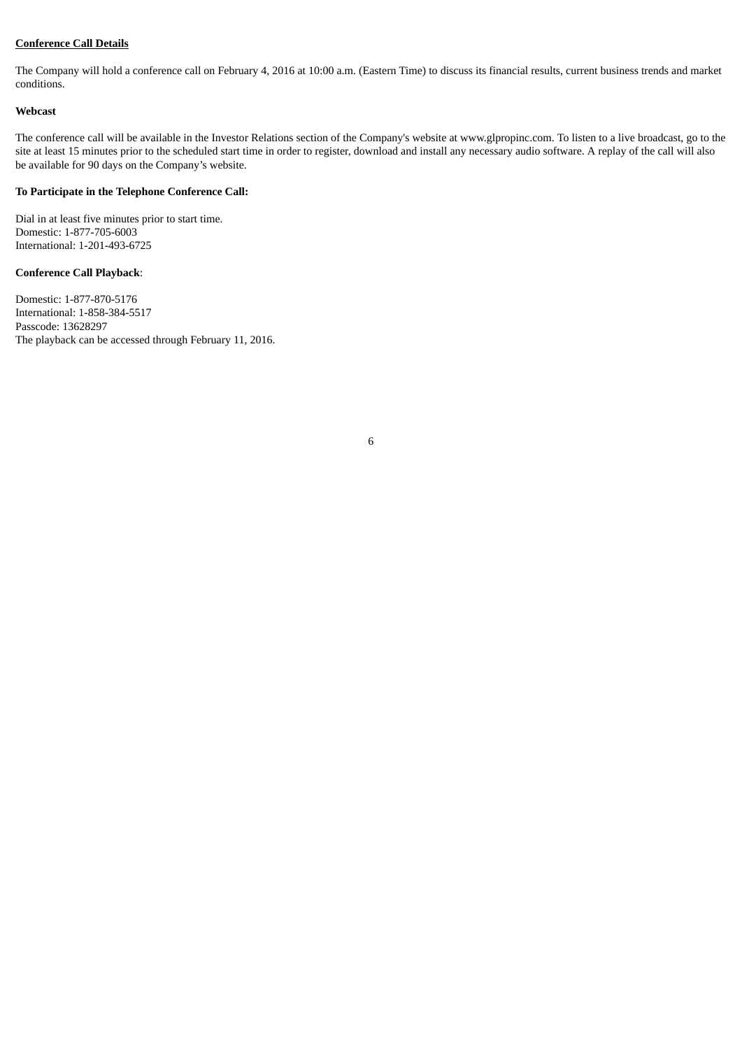## **Conference Call Details**

The Company will hold a conference call on February 4, 2016 at 10:00 a.m. (Eastern Time) to discuss its financial results, current business trends and market conditions.

#### **Webcast**

The conference call will be available in the Investor Relations section of the Company's website at www.glpropinc.com. To listen to a live broadcast, go to the site at least 15 minutes prior to the scheduled start time in order to register, download and install any necessary audio software. A replay of the call will also be available for 90 days on the Company's website.

#### **To Participate in the Telephone Conference Call:**

Dial in at least five minutes prior to start time. Domestic: 1-877-705-6003 International: 1-201-493-6725

#### **Conference Call Playback**:

Domestic: 1-877-870-5176 International: 1-858-384-5517 Passcode: 13628297 The playback can be accessed through February 11, 2016.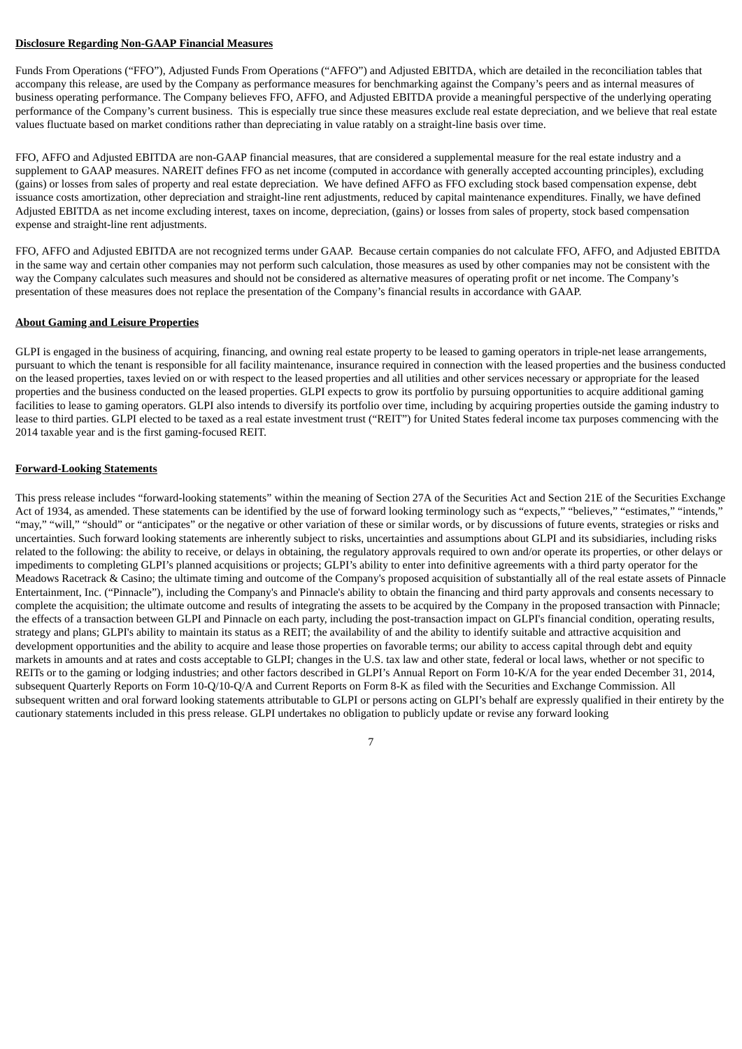#### **Disclosure Regarding Non-GAAP Financial Measures**

Funds From Operations ("FFO"), Adjusted Funds From Operations ("AFFO") and Adjusted EBITDA, which are detailed in the reconciliation tables that accompany this release, are used by the Company as performance measures for benchmarking against the Company's peers and as internal measures of business operating performance. The Company believes FFO, AFFO, and Adjusted EBITDA provide a meaningful perspective of the underlying operating performance of the Company's current business. This is especially true since these measures exclude real estate depreciation, and we believe that real estate values fluctuate based on market conditions rather than depreciating in value ratably on a straight-line basis over time.

FFO, AFFO and Adjusted EBITDA are non-GAAP financial measures, that are considered a supplemental measure for the real estate industry and a supplement to GAAP measures. NAREIT defines FFO as net income (computed in accordance with generally accepted accounting principles), excluding (gains) or losses from sales of property and real estate depreciation. We have defined AFFO as FFO excluding stock based compensation expense, debt issuance costs amortization, other depreciation and straight-line rent adjustments, reduced by capital maintenance expenditures. Finally, we have defined Adjusted EBITDA as net income excluding interest, taxes on income, depreciation, (gains) or losses from sales of property, stock based compensation expense and straight-line rent adjustments.

FFO, AFFO and Adjusted EBITDA are not recognized terms under GAAP. Because certain companies do not calculate FFO, AFFO, and Adjusted EBITDA in the same way and certain other companies may not perform such calculation, those measures as used by other companies may not be consistent with the way the Company calculates such measures and should not be considered as alternative measures of operating profit or net income. The Company's presentation of these measures does not replace the presentation of the Company's financial results in accordance with GAAP.

#### **About Gaming and Leisure Properties**

GLPI is engaged in the business of acquiring, financing, and owning real estate property to be leased to gaming operators in triple-net lease arrangements, pursuant to which the tenant is responsible for all facility maintenance, insurance required in connection with the leased properties and the business conducted on the leased properties, taxes levied on or with respect to the leased properties and all utilities and other services necessary or appropriate for the leased properties and the business conducted on the leased properties. GLPI expects to grow its portfolio by pursuing opportunities to acquire additional gaming facilities to lease to gaming operators. GLPI also intends to diversify its portfolio over time, including by acquiring properties outside the gaming industry to lease to third parties. GLPI elected to be taxed as a real estate investment trust ("REIT") for United States federal income tax purposes commencing with the 2014 taxable year and is the first gaming-focused REIT.

#### **Forward-Looking Statements**

This press release includes "forward-looking statements" within the meaning of Section 27A of the Securities Act and Section 21E of the Securities Exchange Act of 1934, as amended. These statements can be identified by the use of forward looking terminology such as "expects," "believes," "estimates," "intends," "may," "will," "should" or "anticipates" or the negative or other variation of these or similar words, or by discussions of future events, strategies or risks and uncertainties. Such forward looking statements are inherently subject to risks, uncertainties and assumptions about GLPI and its subsidiaries, including risks related to the following: the ability to receive, or delays in obtaining, the regulatory approvals required to own and/or operate its properties, or other delays or impediments to completing GLPI's planned acquisitions or projects; GLPI's ability to enter into definitive agreements with a third party operator for the Meadows Racetrack & Casino; the ultimate timing and outcome of the Company's proposed acquisition of substantially all of the real estate assets of Pinnacle Entertainment, Inc. ("Pinnacle"), including the Company's and Pinnacle's ability to obtain the financing and third party approvals and consents necessary to complete the acquisition; the ultimate outcome and results of integrating the assets to be acquired by the Company in the proposed transaction with Pinnacle; the effects of a transaction between GLPI and Pinnacle on each party, including the post-transaction impact on GLPI's financial condition, operating results, strategy and plans; GLPI's ability to maintain its status as a REIT; the availability of and the ability to identify suitable and attractive acquisition and development opportunities and the ability to acquire and lease those properties on favorable terms; our ability to access capital through debt and equity markets in amounts and at rates and costs acceptable to GLPI; changes in the U.S. tax law and other state, federal or local laws, whether or not specific to REITs or to the gaming or lodging industries; and other factors described in GLPI's Annual Report on Form 10-K/A for the year ended December 31, 2014, subsequent Quarterly Reports on Form 10-Q/10-Q/A and Current Reports on Form 8-K as filed with the Securities and Exchange Commission. All subsequent written and oral forward looking statements attributable to GLPI or persons acting on GLPI's behalf are expressly qualified in their entirety by the cautionary statements included in this press release. GLPI undertakes no obligation to publicly update or revise any forward looking

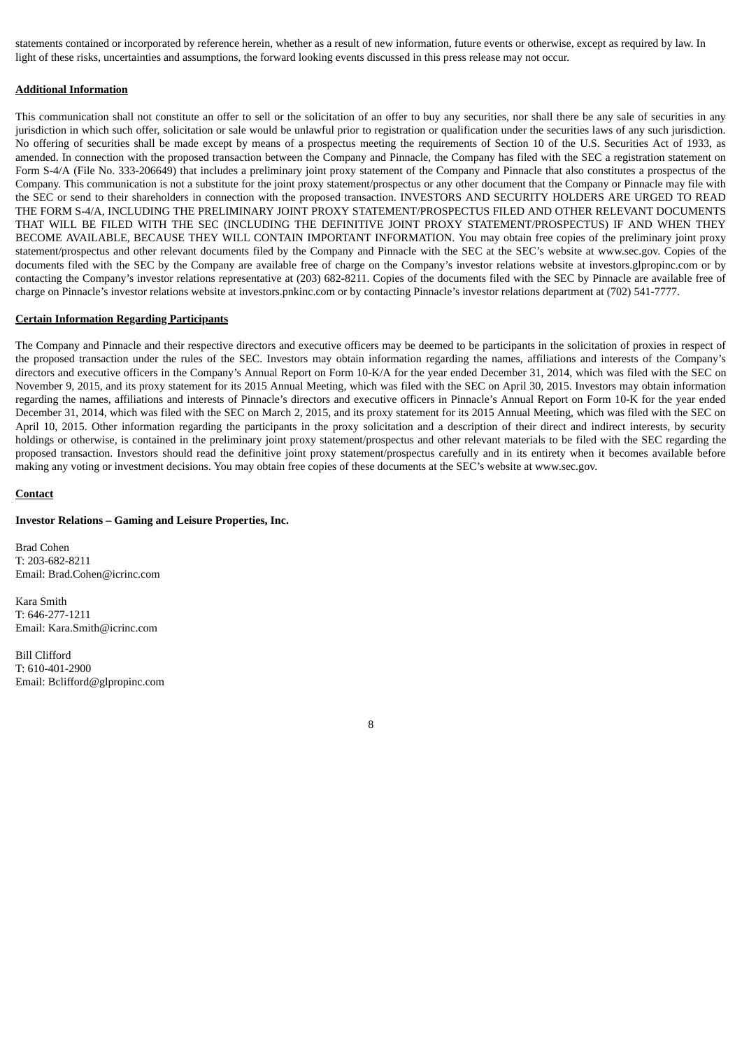statements contained or incorporated by reference herein, whether as a result of new information, future events or otherwise, except as required by law. In light of these risks, uncertainties and assumptions, the forward looking events discussed in this press release may not occur.

#### **Additional Information**

This communication shall not constitute an offer to sell or the solicitation of an offer to buy any securities, nor shall there be any sale of securities in any jurisdiction in which such offer, solicitation or sale would be unlawful prior to registration or qualification under the securities laws of any such jurisdiction. No offering of securities shall be made except by means of a prospectus meeting the requirements of Section 10 of the U.S. Securities Act of 1933, as amended. In connection with the proposed transaction between the Company and Pinnacle, the Company has filed with the SEC a registration statement on Form S-4/A (File No. 333-206649) that includes a preliminary joint proxy statement of the Company and Pinnacle that also constitutes a prospectus of the Company. This communication is not a substitute for the joint proxy statement/prospectus or any other document that the Company or Pinnacle may file with the SEC or send to their shareholders in connection with the proposed transaction. INVESTORS AND SECURITY HOLDERS ARE URGED TO READ THE FORM S-4/A, INCLUDING THE PRELIMINARY JOINT PROXY STATEMENT/PROSPECTUS FILED AND OTHER RELEVANT DOCUMENTS THAT WILL BE FILED WITH THE SEC (INCLUDING THE DEFINITIVE JOINT PROXY STATEMENT/PROSPECTUS) IF AND WHEN THEY BECOME AVAILABLE, BECAUSE THEY WILL CONTAIN IMPORTANT INFORMATION. You may obtain free copies of the preliminary joint proxy statement/prospectus and other relevant documents filed by the Company and Pinnacle with the SEC at the SEC's website at www.sec.gov. Copies of the documents filed with the SEC by the Company are available free of charge on the Company's investor relations website at investors.glpropinc.com or by contacting the Company's investor relations representative at (203) 682-8211. Copies of the documents filed with the SEC by Pinnacle are available free of charge on Pinnacle's investor relations website at investors.pnkinc.com or by contacting Pinnacle's investor relations department at (702) 541-7777.

#### **Certain Information Regarding Participants**

The Company and Pinnacle and their respective directors and executive officers may be deemed to be participants in the solicitation of proxies in respect of the proposed transaction under the rules of the SEC. Investors may obtain information regarding the names, affiliations and interests of the Company's directors and executive officers in the Company's Annual Report on Form 10-K/A for the year ended December 31, 2014, which was filed with the SEC on November 9, 2015, and its proxy statement for its 2015 Annual Meeting, which was filed with the SEC on April 30, 2015. Investors may obtain information regarding the names, affiliations and interests of Pinnacle's directors and executive officers in Pinnacle's Annual Report on Form 10-K for the year ended December 31, 2014, which was filed with the SEC on March 2, 2015, and its proxy statement for its 2015 Annual Meeting, which was filed with the SEC on April 10, 2015. Other information regarding the participants in the proxy solicitation and a description of their direct and indirect interests, by security holdings or otherwise, is contained in the preliminary joint proxy statement/prospectus and other relevant materials to be filed with the SEC regarding the proposed transaction. Investors should read the definitive joint proxy statement/prospectus carefully and in its entirety when it becomes available before making any voting or investment decisions. You may obtain free copies of these documents at the SEC's website at www.sec.gov.

#### **Contact**

## **Investor Relations – Gaming and Leisure Properties, Inc.**

Brad Cohen T: 203-682-8211 Email: Brad.Cohen@icrinc.com

Kara Smith T: 646-277-1211 Email: Kara.Smith@icrinc.com

Bill Clifford T: 610-401-2900 Email: Bclifford@glpropinc.com

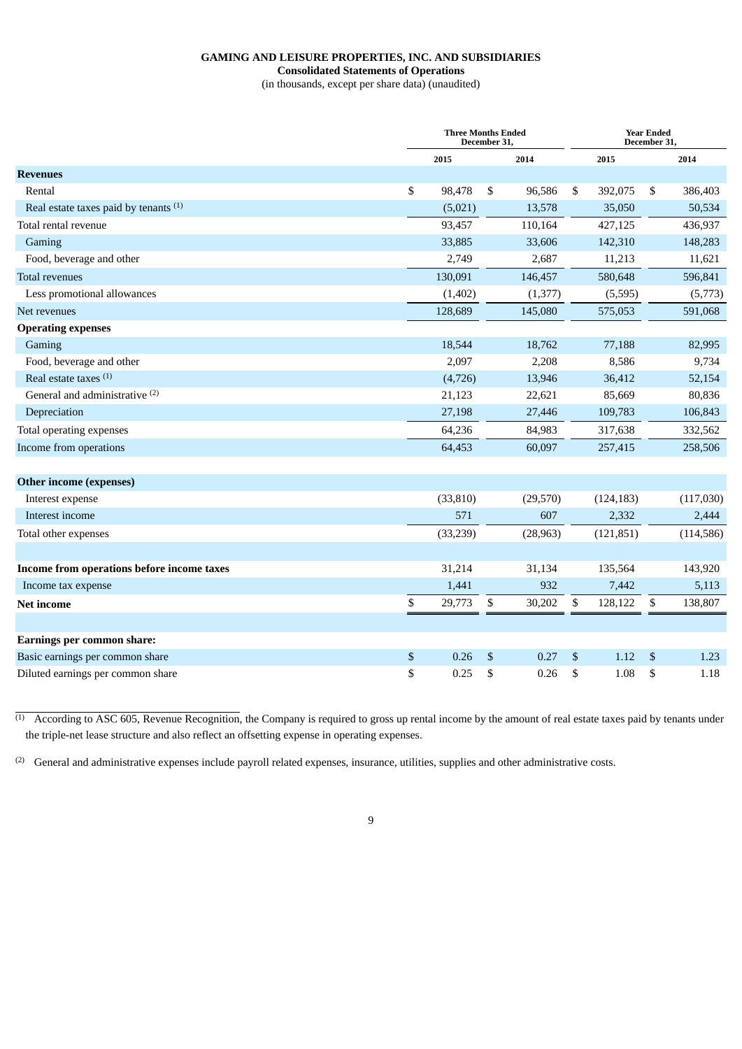### **GAMING AND LEISURE PROPERTIES, INC. AND SUBSIDIARIES**

**Consolidated Statements of Operations**

(in thousands, except per share data) (unaudited)

|                                            | <b>Three Months Ended</b><br>December 31 |    | <b>Year Ended</b><br>December 31, |    |            |    |            |
|--------------------------------------------|------------------------------------------|----|-----------------------------------|----|------------|----|------------|
|                                            | 2015                                     |    | 2014                              |    | 2015       |    | 2014       |
| <b>Revenues</b>                            |                                          |    |                                   |    |            |    |            |
| Rental                                     | \$<br>98,478                             | \$ | 96,586                            | \$ | 392,075    | \$ | 386,403    |
| Real estate taxes paid by tenants (1)      | (5,021)                                  |    | 13,578                            |    | 35,050     |    | 50,534     |
| Total rental revenue                       | 93,457                                   |    | 110,164                           |    | 427,125    |    | 436,937    |
| Gaming                                     | 33,885                                   |    | 33,606                            |    | 142,310    |    | 148,283    |
| Food, beverage and other                   | 2,749                                    |    | 2,687                             |    | 11,213     |    | 11,621     |
| <b>Total revenues</b>                      | 130,091                                  |    | 146,457                           |    | 580,648    |    | 596,841    |
| Less promotional allowances                | (1, 402)                                 |    | (1, 377)                          |    | (5, 595)   |    | (5,773)    |
| Net revenues                               | 128,689                                  |    | 145,080                           |    | 575,053    |    | 591,068    |
| <b>Operating expenses</b>                  |                                          |    |                                   |    |            |    |            |
| Gaming                                     | 18,544                                   |    | 18,762                            |    | 77,188     |    | 82,995     |
| Food, beverage and other                   | 2,097                                    |    | 2,208                             |    | 8,586      |    | 9,734      |
| Real estate taxes <sup>(1)</sup>           | (4,726)                                  |    | 13,946                            |    | 36,412     |    | 52,154     |
| General and administrative <sup>(2)</sup>  | 21,123                                   |    | 22,621                            |    | 85,669     |    | 80,836     |
| Depreciation                               | 27,198                                   |    | 27,446                            |    | 109,783    |    | 106,843    |
| Total operating expenses                   | 64,236                                   |    | 84,983                            |    | 317,638    |    | 332,562    |
| Income from operations                     | 64,453                                   |    | 60,097                            |    | 257,415    |    | 258,506    |
|                                            |                                          |    |                                   |    |            |    |            |
| Other income (expenses)                    |                                          |    |                                   |    |            |    |            |
| Interest expense                           | (33, 810)                                |    | (29, 570)                         |    | (124, 183) |    | (117,030)  |
| Interest income                            | 571                                      |    | 607                               |    | 2,332      |    | 2,444      |
| Total other expenses                       | (33, 239)                                |    | (28, 963)                         |    | (121, 851) |    | (114, 586) |
|                                            |                                          |    |                                   |    |            |    |            |
| Income from operations before income taxes | 31,214                                   |    | 31,134                            |    | 135,564    |    | 143,920    |
| Income tax expense                         | 1,441                                    |    | 932                               |    | 7,442      |    | 5,113      |
| <b>Net income</b>                          | \$<br>29,773                             | \$ | 30,202                            | \$ | 128,122    | \$ | 138,807    |
|                                            |                                          |    |                                   |    |            |    |            |
| Earnings per common share:                 |                                          |    |                                   |    |            |    |            |
| Basic earnings per common share            | \$<br>0.26                               | \$ | 0.27                              | \$ | 1.12       | \$ | 1.23       |
| Diluted earnings per common share          | \$<br>0.25                               | \$ | 0.26                              | \$ | 1.08       | \$ | 1.18       |

 $<sup>(1)</sup>$  According to ASC 605, Revenue Recognition, the Company is required to gross up rental income by the amount of real estate taxes paid by tenants under</sup> the triple-net lease structure and also reflect an offsetting expense in operating expenses.

 $^{(2)}$  General and administrative expenses include payroll related expenses, insurance, utilities, supplies and other administrative costs.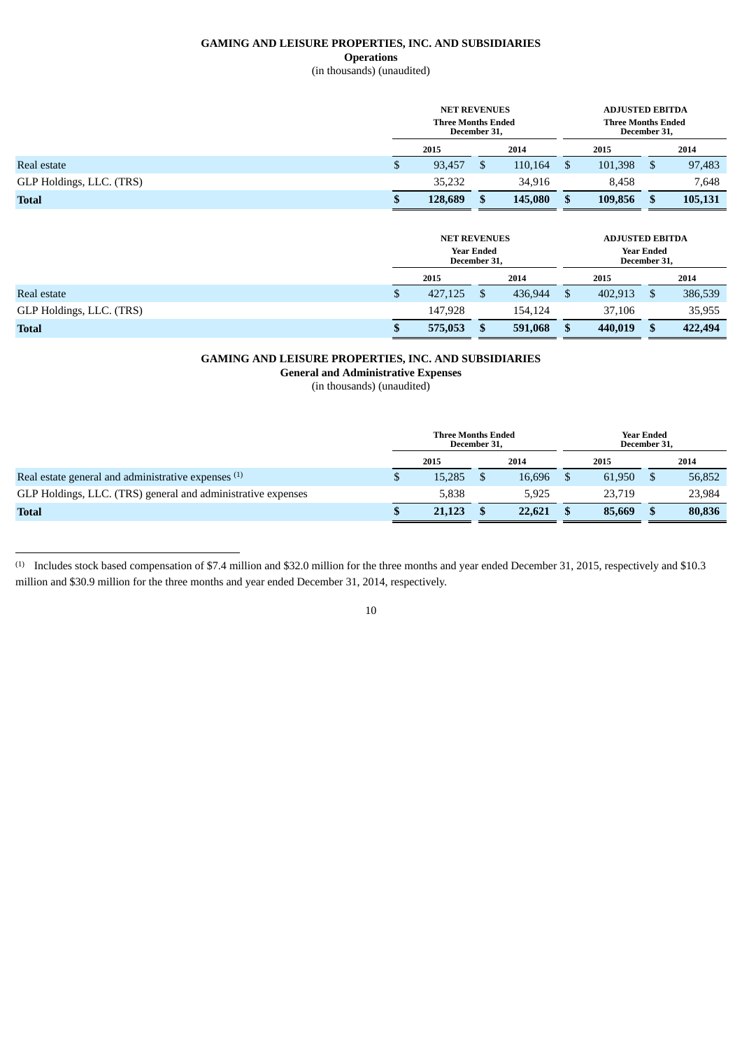## **GAMING AND LEISURE PROPERTIES, INC. AND SUBSIDIARIES Operations**

## (in thousands) (unaudited)

|                          | <b>NET REVENUES</b><br><b>Three Months Ended</b><br>December 31, |         |  |         | <b>ADJUSTED EBITDA</b><br><b>Three Months Ended</b><br>December 31, |         |  |         |  |
|--------------------------|------------------------------------------------------------------|---------|--|---------|---------------------------------------------------------------------|---------|--|---------|--|
|                          |                                                                  | 2015    |  | 2014    |                                                                     | 2015    |  | 2014    |  |
| Real estate              | Φ                                                                | 93,457  |  | 110,164 |                                                                     | 101,398 |  | 97,483  |  |
| GLP Holdings, LLC. (TRS) |                                                                  | 35,232  |  | 34.916  |                                                                     | 8.458   |  | 7,648   |  |
| <b>Total</b>             |                                                                  | 128,689 |  | 145,080 |                                                                     | 109,856 |  | 105,131 |  |

|                          | <b>NET REVENUES</b><br>December 31, | <b>Year Ended</b> |         | <b>ADJUSTED EBITDA</b><br><b>Year Ended</b><br>December 31, |         |  |         |  |
|--------------------------|-------------------------------------|-------------------|---------|-------------------------------------------------------------|---------|--|---------|--|
|                          | 2015                                |                   | 2014    |                                                             | 2015    |  | 2014    |  |
| Real estate              | \$<br>427,125                       |                   | 436,944 | <sup>\$</sup>                                               | 402,913 |  | 386,539 |  |
| GLP Holdings, LLC. (TRS) | 147,928                             |                   | 154,124 |                                                             | 37,106  |  | 35,955  |  |
| <b>Total</b>             | \$<br>575,053                       |                   | 591,068 | \$                                                          | 440,019 |  | 422,494 |  |

## **GAMING AND LEISURE PROPERTIES, INC. AND SUBSIDIARIES**

**General and Administrative Expenses**

(in thousands) (unaudited)

|                                                              | <b>Three Months Ended</b><br>December 31. |        |  |        |  | <b>Year Ended</b><br>December 31. |  |        |  |  |
|--------------------------------------------------------------|-------------------------------------------|--------|--|--------|--|-----------------------------------|--|--------|--|--|
|                                                              |                                           | 2015   |  | 2014   |  | 2015                              |  | 2014   |  |  |
| Real estate general and administrative expenses (1)          | \$                                        | 15.285 |  | 16.696 |  | 61,950                            |  | 56,852 |  |  |
| GLP Holdings, LLC. (TRS) general and administrative expenses |                                           | 5.838  |  | 5.925  |  | 23.719                            |  | 23,984 |  |  |
| <b>Total</b>                                                 | \$                                        | 21,123 |  | 22,621 |  | 85,669                            |  | 80,836 |  |  |

<sup>(1)</sup> Includes stock based compensation of \$7.4 million and \$32.0 million for the three months and year ended December 31, 2015, respectively and \$10.3 million and \$30.9 million for the three months and year ended December 31, 2014, respectively.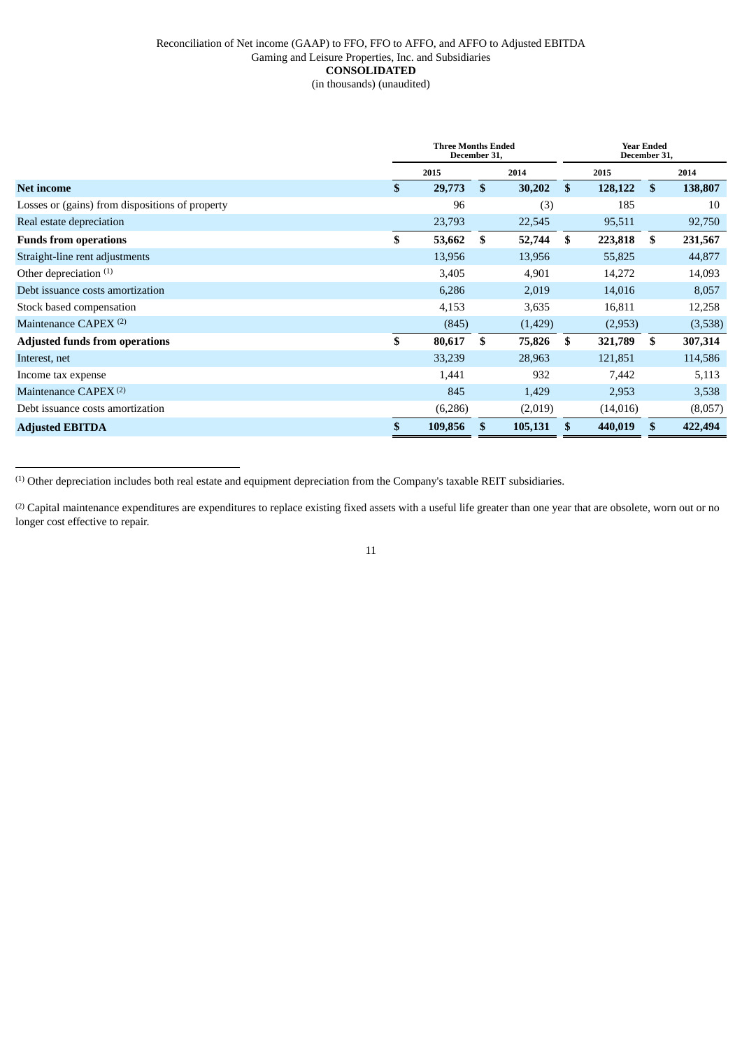### Reconciliation of Net income (GAAP) to FFO, FFO to AFFO, and AFFO to Adjusted EBITDA Gaming and Leisure Properties, Inc. and Subsidiaries **CONSOLIDATED** (in thousands) (unaudited)

|                                                 | <b>Three Months Ended</b><br>December 31, |         |    |         |    | <b>Year Ended</b><br>December 31, |    |         |  |  |
|-------------------------------------------------|-------------------------------------------|---------|----|---------|----|-----------------------------------|----|---------|--|--|
|                                                 |                                           | 2015    |    | 2014    |    | 2015                              |    | 2014    |  |  |
| <b>Net income</b>                               | \$                                        | 29,773  | \$ | 30,202  | \$ | 128,122                           | \$ | 138,807 |  |  |
| Losses or (gains) from dispositions of property |                                           | 96      |    | (3)     |    | 185                               |    | 10      |  |  |
| Real estate depreciation                        |                                           | 23,793  |    | 22,545  |    | 95,511                            |    | 92,750  |  |  |
| <b>Funds from operations</b>                    | \$                                        | 53,662  | \$ | 52,744  | \$ | 223,818                           | \$ | 231,567 |  |  |
| Straight-line rent adjustments                  |                                           | 13,956  |    | 13,956  |    | 55,825                            |    | 44,877  |  |  |
| Other depreciation $(1)$                        |                                           | 3,405   |    | 4,901   |    | 14,272                            |    | 14,093  |  |  |
| Debt issuance costs amortization                |                                           | 6,286   |    | 2,019   |    | 14,016                            |    | 8,057   |  |  |
| Stock based compensation                        |                                           | 4,153   |    | 3,635   |    | 16,811                            |    | 12,258  |  |  |
| Maintenance CAPEX <sup>(2)</sup>                |                                           | (845)   |    | (1,429) |    | (2,953)                           |    | (3,538) |  |  |
| <b>Adjusted funds from operations</b>           | \$                                        | 80,617  | \$ | 75,826  | \$ | 321,789                           | \$ | 307,314 |  |  |
| Interest, net                                   |                                           | 33,239  |    | 28,963  |    | 121,851                           |    | 114,586 |  |  |
| Income tax expense                              |                                           | 1,441   |    | 932     |    | 7,442                             |    | 5,113   |  |  |
| Maintenance CAPEX $(2)$                         |                                           | 845     |    | 1,429   |    | 2,953                             |    | 3,538   |  |  |
| Debt issuance costs amortization                |                                           | (6,286) |    | (2,019) |    | (14, 016)                         |    | (8,057) |  |  |
| <b>Adjusted EBITDA</b>                          | \$                                        | 109,856 | \$ | 105,131 | \$ | 440,019                           | \$ | 422,494 |  |  |

(1) Other depreciation includes both real estate and equipment depreciation from the Company's taxable REIT subsidiaries.

(2) Capital maintenance expenditures are expenditures to replace existing fixed assets with a useful life greater than one year that are obsolete, worn out or no longer cost effective to repair.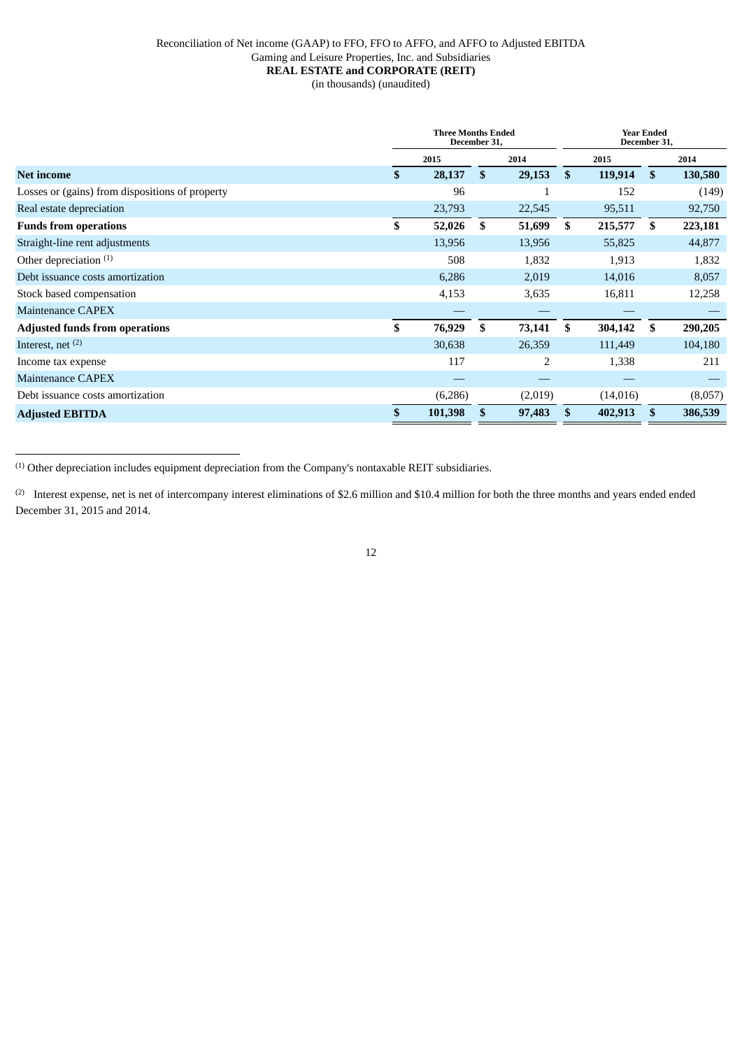#### Reconciliation of Net income (GAAP) to FFO, FFO to AFFO, and AFFO to Adjusted EBITDA Gaming and Leisure Properties, Inc. and Subsidiaries **REAL ESTATE and CORPORATE (REIT)** (in thousands) (unaudited)

|                                                 | <b>Three Months Ended</b><br>December 31, |         |    |         | <b>Year Ended</b><br>December 31, |          |     |         |  |
|-------------------------------------------------|-------------------------------------------|---------|----|---------|-----------------------------------|----------|-----|---------|--|
|                                                 | 2015                                      |         |    | 2014    |                                   | 2015     |     | 2014    |  |
| <b>Net income</b>                               | \$                                        | 28,137  | S. | 29,153  | $\mathbf{s}$                      | 119,914  | \$. | 130,580 |  |
| Losses or (gains) from dispositions of property |                                           | 96      |    |         |                                   | 152      |     | (149)   |  |
| Real estate depreciation                        |                                           | 23,793  |    | 22,545  |                                   | 95,511   |     | 92,750  |  |
| <b>Funds from operations</b>                    | \$                                        | 52,026  | \$ | 51,699  | \$                                | 215,577  | \$  | 223,181 |  |
| Straight-line rent adjustments                  |                                           | 13,956  |    | 13,956  |                                   | 55,825   |     | 44,877  |  |
| Other depreciation <sup>(1)</sup>               |                                           | 508     |    | 1,832   |                                   | 1,913    |     | 1,832   |  |
| Debt issuance costs amortization                |                                           | 6,286   |    | 2,019   |                                   | 14,016   |     | 8,057   |  |
| Stock based compensation                        |                                           | 4,153   |    | 3,635   |                                   | 16,811   |     | 12,258  |  |
| <b>Maintenance CAPEX</b>                        |                                           |         |    |         |                                   |          |     |         |  |
| <b>Adjusted funds from operations</b>           | \$                                        | 76,929  | \$ | 73,141  | \$                                | 304,142  | \$  | 290,205 |  |
| Interest, net $(2)$                             |                                           | 30,638  |    | 26,359  |                                   | 111,449  |     | 104,180 |  |
| Income tax expense                              |                                           | 117     |    | 2       |                                   | 1,338    |     | 211     |  |
| <b>Maintenance CAPEX</b>                        |                                           |         |    |         |                                   |          |     |         |  |
| Debt issuance costs amortization                |                                           | (6,286) |    | (2,019) |                                   | (14,016) |     | (8,057) |  |
| <b>Adjusted EBITDA</b>                          | \$                                        | 101,398 | S  | 97,483  | \$                                | 402,913  | S   | 386,539 |  |

(1) Other depreciation includes equipment depreciation from the Company's nontaxable REIT subsidiaries.

(2) Interest expense, net is net of intercompany interest eliminations of \$2.6 million and \$10.4 million for both the three months and years ended ended December 31, 2015 and 2014.